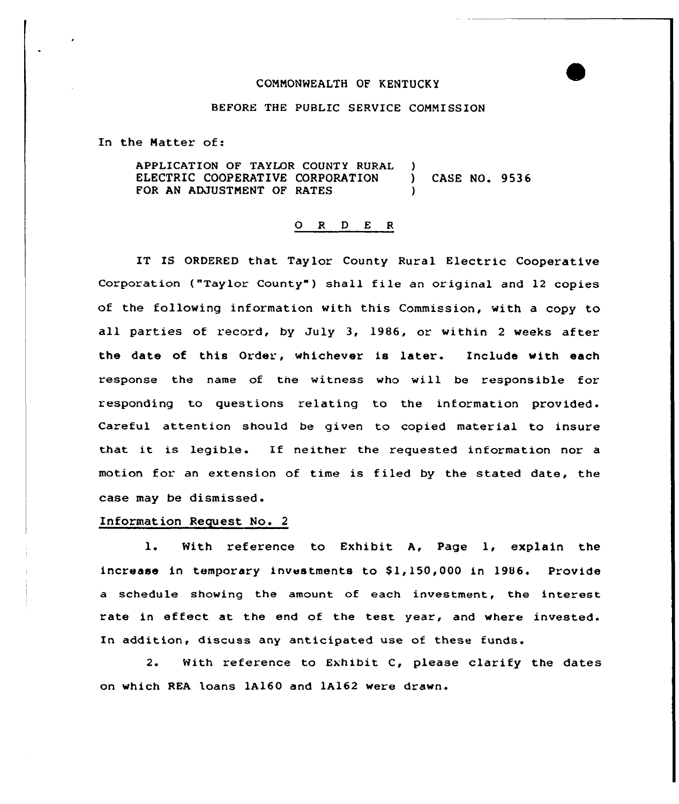## COHNONWEALTH OF KENTUCKY

## BEFORE THE PUBLIC SERVICE COMMISSION

In the Hatter of:

APPLICATION OF TAYLOR COUNTY RURAL ELECTRIC COOPERATIVE CORPORATION FOR AN ADJUSTHENT OF RATES ) ) CASE NO. 9536 )

## O R D E R

IT IS ORDERED that Taylor County Rural Electric Cooperative Corporation ("Taylor County") shall file an original and 12 copies of the following information with this Commission, with a copy to all parties of record, by July 3, 19B6, or within <sup>2</sup> weeks after the date of this Order, whichever is later. Include with each response the name of the witness who will be responsible for responding to questions relating to the information provided. Careful attention should be given to copied material to insure that it is legible. If neither the requested information nor a motion for an extension of time is filed by the stated date, the case may be dismissed.

## Information Request No. 2

1. With reference to Exhibit A, Page 1, explain the increase in temporary investments to \$1,150,000 in 1986. Provide a schedule showing the amount of each investment, the interest rate in effect at the end of the test year, and where invested. In addition, discuss any anticipated use of these funds'.

 $2.$ With reference to Exhibit  $C$ , please clarify the dates on which REA loans 1A160 and lA162 were drawn.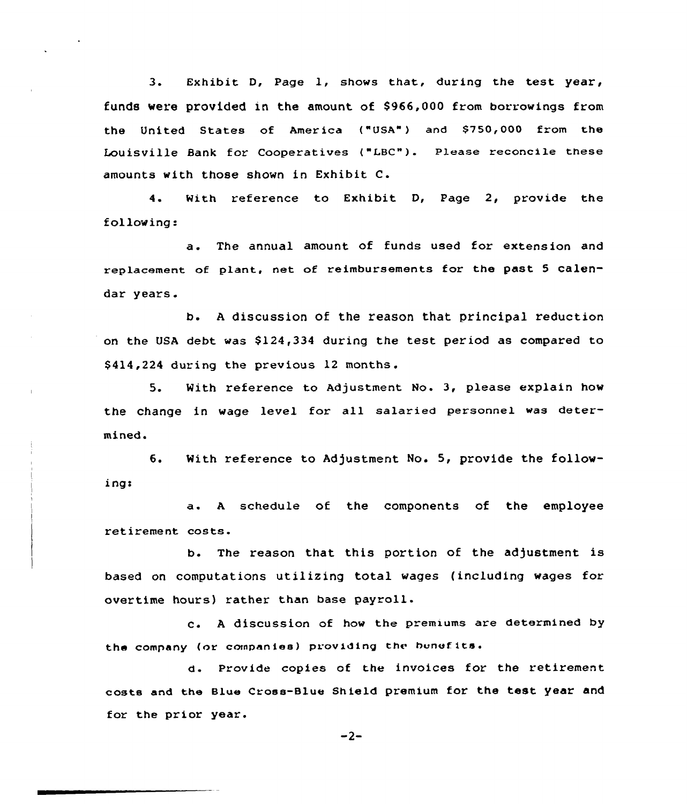3. Exhibit D, Page 1, shows that, during the test year, funds were provided in the amount of \$966,000 from borrowings from the United States of America ("USA") and \$750,000 from the Louisville Sank for cooperatives ("LBc"). please reconcile these amounts with those shown in Exhibit C.

4. With reference to Exhibit D, Page 2, provide the following:

a. The annual amount of funds used for extension and replacement of plant, net of reimbursements for the past <sup>5</sup> calendar years.

b. <sup>A</sup> discussion of the reason that principal reduction on the USA debt was \$124,334 during the test period as compared to \$ 414,224 during the previous 12 months.

5. With reference to Adjustment No. 3, please explain how the change in wage level for all salaried personnel was determined.

6. With reference to Adjustment No. 5, provide the following!

a. <sup>A</sup> schedule of the components of the employee retirement costs.

b. The reason that this portion of the adjustment is based on computations utilizing total wages (including wages for overtime hours) rather than base payroll.

c. A discussion of how the premiums are determined by the company (or companies) providing the benefits.

d. provide copies of the invoices for the retirement costs and the Blue Cross-Blue Shield premium for the test year and for the prior year.

 $-2-$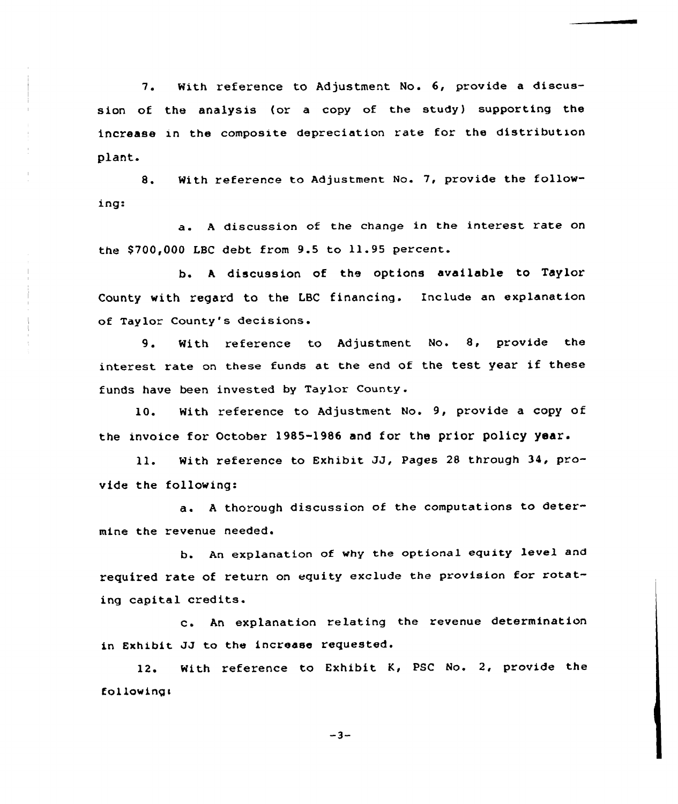7. With reference to Adjustment No. 6, provide a discussion of the analysis (or a copy of the study) supporting the increase in the composite depreciation rate for the distribution plant.

8. With reference to Adjustment No. 7, provide the following

a. <sup>A</sup> discussion of the change in the interest rate on the \$700,000 LBC debt from 9.5 to 11.95 percent.

b. <sup>A</sup> discussion of the options available to Taylor County with regard to the LBC financing. Include an explanation of Taylor County's decisions.

9. With reference to Adjustment No. 8, provide the interest rate on these funds at the end of the test year if these funds have been invested by Taylor County .

10. With reference to Adjustment No. 9, provide a copy of the invoice for October 1985-1986 and for the prior policy year.

ll. With reference to Exhibit JJ, Pages <sup>28</sup> through 34, provide the following:

a. <sup>A</sup> thorough discussion of the computations to determine the revenue needed.

b. An explanation of why the optional equity level and required rate of return on equity exclude the provision for rotating capital credits.

c. An explanation relating the revenue determination in Exhibit JJ to the increase requested.

12. With reference to Exhibit K, PSC No. 2, provide the following:

 $-3-$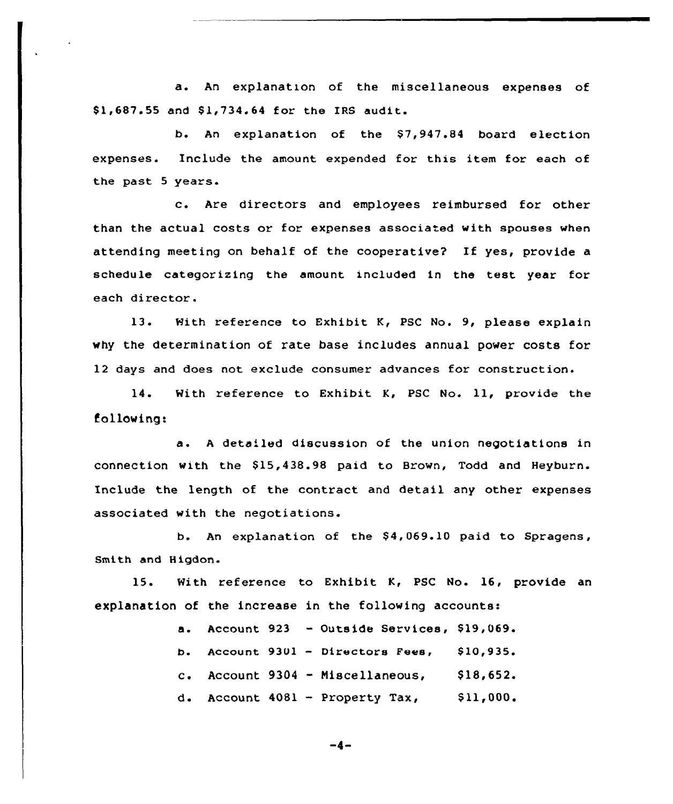a. An explanation of the miscellaneous expenses of \$1,687.55 and \$1,734.64 for the IRS audit.

b. An explanation of the \$7,947.84 board election expenses. Include the amount expended for this item for each of the past 5 years.

c. Are directors and employees reimbursed for other than the actual costs or for expenses associated with spouses when attending meeting on behalf of the cooperative? If yes, provide a schedule categorizing the amount included in the test year for each director.

13. With reference to Exhibit K, PSC No. 9, please explain why the determination of rate base includes annual power costs for 12 days and does not exclude consumer advances for construction.

14. With reference to Exhibit K, PSC No. 11, provide the fo 1low ing:

a. <sup>A</sup> detailed discussion of the union negotiations in connection with the 515,438.98 paid to Brown, Todd and Heyburn. Include the length of the contract and detail any other expenses associated with the negotiations.

b. An explanation of the \$4,069.10 paid to Spragens, Smith and Higdon

15. With reference to Exhibit K, PSC No. 16, provide an explanation of the increase in the following accounts:

> Account 923  $-$  Outside Services, \$19,069.  $\mathbf{a}$ . b. Account 9301 - Directors Fees, \$10,935. c. Account  $9304 - M1scellaneous$ ,  $$18,652$ . d. Account 4081 — Property Tax, \$ 11,000.

$$
-4-
$$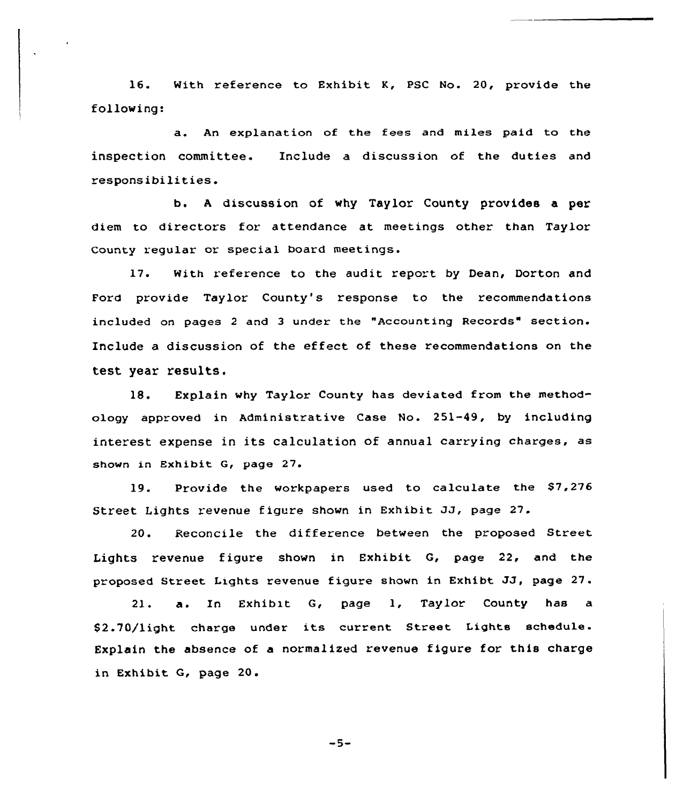16. With reference to Exhibit K, PSC No. 20, provide the following:

a. An explanation of the fees and miles paid to the inspection committee. Include a discussion of the duties and responsibilities.

b. <sup>A</sup> discussion of why Taylor County provides a per diem to directors for attendance at meetings other than Taylor County regular or special board meetings.

17. With reference to the audit report by Dean, Dorton and Ford provide Taylor County's response to the recommendations included on pages <sup>2</sup> and <sup>3</sup> under the "Accounting Records" section. Include a discussion of the effect of these recommendations on the test year results.

18. Explain why Taylor County has deviated from the methodology approved in Administrative Case No. 251-49, by including interest expense in its calculation of annual carrying charges, as shown in Exhibit G, page 27.

 $19.$ Provide the workpapers used to calculate the \$7,276 Street Lights revenue figure shown in Exhibit JJ, page 27.

20. Reconcile the difference between the proposed Street Lights revenue figure shown in Exhibit G, page 22, and the proposed Street Lights revenue figure shown in Exhibt JJ, page 27.

 $21.$ a. In Exhibit G, page 1, Taylor County has a \$2.70/light charge under its current Street Lights schedule. Explain the absence of a normalized revenue figure for this charge in Exhibit Q, page 20.

 $-5-$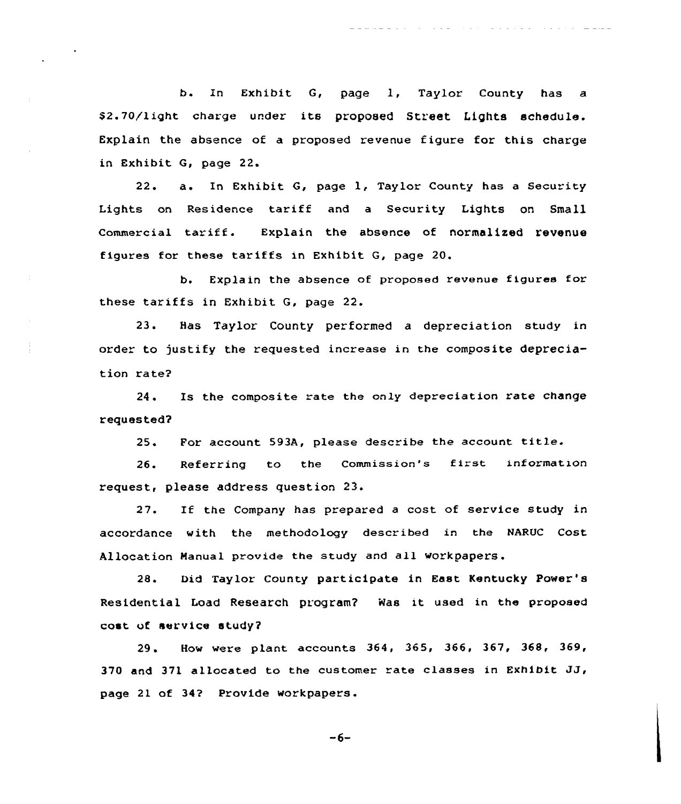b. In Exhibit G, page l, Taylor County has <sup>a</sup> \$2.70/light charge under its proposed Street Lights schedule. Explain the absence of a proposed revenue figure for this charge in Exhibit G, page 22.

related to the contract of the contract of the contract of the contract of the contract of the contract of the

22. a. In Exhibit G, page l, Taylor County has <sup>a</sup> Security Lights on Residence tariff and <sup>a</sup> Security Lights on Small commercial tariff. Explain the absence of normalized revenue figures for these tariffs in Exhibit G, page 20.

b. Explain the absence of proposed revenue figures for these tariffs in Exhibit G, page 22.

23. Has Taylor County performed a depreciation study in order to justify the requested increase in the composite depreciation rate?

Ĵ

24. Is the composite rate the only depreciation rate change requested?

25. For account 593A, please describe the account title.

26. Referring to the Commission's first information request, please address question 23.

27. If the Company has prepared <sup>a</sup> cost of service study in accordance with the methodology described in the NARUC Cost Allocation Manual provide the study and all workpapers.

28. Did Taylor County participate in East Kentucky Power's Residential Load Research program? i4as it used in the proposed cost vf service study?

29. How were plant accounts 364, 365, 366, 367, 368, 369, 370 and 371 allocated to the customer rate classes in Exhibit  $JJ$ , page 2l of 34? Provide workpapers.

-6-